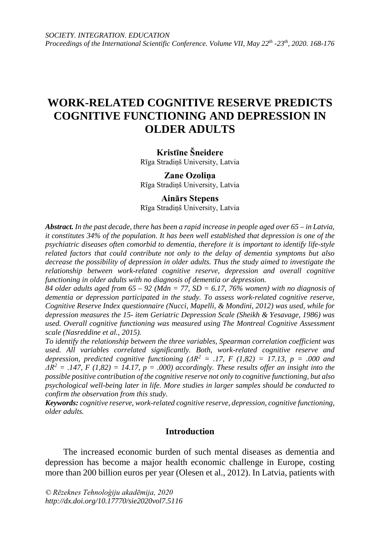## **WORK-RELATED COGNITIVE RESERVE PREDICTS COGNITIVE FUNCTIONING AND DEPRESSION IN OLDER ADULTS**

### **Kristīne Šneidere**

Rīga Stradiņš University, Latvia

#### **Zane Ozoliņa** Rīga Stradiņš University, Latvia

# **Ainārs Stepens**

Rīga Stradiņš University, Latvia

*Abstract. In the past decade, there has been a rapid increase in people aged over 65 – in Latvia, it constitutes 34% of the population. It has been well established that depression is one of the psychiatric diseases often comorbid to dementia, therefore it is important to identify life-style related factors that could contribute not only to the delay of dementia symptoms but also decrease the possibility of depression in older adults. Thus the study aimed to investigate the relationship between work-related cognitive reserve, depression and overall cognitive functioning in older adults with no diagnosis of dementia or depression.*

*84 older adults aged from 65 – 92 (Mdn = 77, SD = 6.17, 76% women) with no diagnosis of dementia or depression participated in the study. To assess work-related cognitive reserve, Cognitive Reserve Index questionnaire (Nucci, Mapelli, & Mondini, 2012) was used, while for depression measures the 15- item Geriatric Depression Scale (Sheikh & Yesavage, 1986) was used. Overall cognitive functioning was measured using The Montreal Cognitive Assessment scale (Nasreddine et al., 2015).* 

*To identify the relationship between the three variables, Spearman correlation coefficient was used. All variables correlated significantly. Both, work-related cognitive reserve and depression, predicted cognitive functioning (* $\Delta R^2$  *= .17, F (1,82) = 17.13, p = .000 and*  $\Delta R^2 = .147$ , *F* (1,82) = 14.17, *p* = .000) accordingly. These results offer an insight into the *possible positive contribution of the cognitive reserve not only to cognitive functioning, but also psychological well-being later in life. More studies in larger samples should be conducted to confirm the observation from this study.*

*Keywords: cognitive reserve, work-related cognitive reserve, depression, cognitive functioning, older adults.*

## **Introduction**

The increased economic burden of such mental diseases as dementia and depression has become a major health economic challenge in Europe, costing more than 200 billion euros per year (Olesen et al., 2012). In Latvia, patients with

*© Rēzeknes Tehnoloģiju akadēmija, 2020 <http://dx.doi.org/10.17770/sie2020vol7.5116>*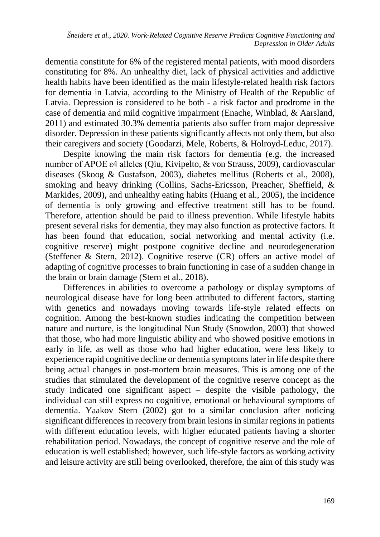dementia constitute for 6% of the registered mental patients, with mood disorders constituting for 8%. An unhealthy diet, lack of physical activities and addictive health habits have been identified as the main lifestyle-related health risk factors for dementia in Latvia, according to the Ministry of Health of the Republic of Latvia. Depression is considered to be both - a risk factor and prodrome in the case of dementia and mild cognitive impairment (Enache, Winblad, & Aarsland, 2011) and estimated 30.3% dementia patients also suffer from major depressive disorder. Depression in these patients significantly affects not only them, but also their caregivers and society (Goodarzi, Mele, Roberts, & Holroyd-Leduc, 2017).

Despite knowing the main risk factors for dementia (e.g. the increased number of APOE ε4 alleles (Qiu, Kivipelto, & von Strauss, 2009), cardiovascular diseases (Skoog & Gustafson, 2003), diabetes mellitus (Roberts et al., 2008), smoking and heavy drinking (Collins, Sachs-Ericsson, Preacher, Sheffield, & Markides, 2009), and unhealthy eating habits (Huang et al., 2005), the incidence of dementia is only growing and effective treatment still has to be found. Therefore, attention should be paid to illness prevention. While lifestyle habits present several risks for dementia, they may also function as protective factors. It has been found that education, social networking and mental activity (i.e. cognitive reserve) might postpone cognitive decline and neurodegeneration (Steffener & Stern, 2012). Cognitive reserve (CR) offers an active model of adapting of cognitive processes to brain functioning in case of a sudden change in the brain or brain damage (Stern et al., 2018).

Differences in abilities to overcome a pathology or display symptoms of neurological disease have for long been attributed to different factors, starting with genetics and nowadays moving towards life-style related effects on cognition. Among the best-known studies indicating the competition between nature and nurture, is the longitudinal Nun Study (Snowdon, 2003) that showed that those, who had more linguistic ability and who showed positive emotions in early in life, as well as those who had higher education, were less likely to experience rapid cognitive decline or dementia symptoms later in life despite there being actual changes in post-mortem brain measures. This is among one of the studies that stimulated the development of the cognitive reserve concept as the study indicated one significant aspect – despite the visible pathology, the individual can still express no cognitive, emotional or behavioural symptoms of dementia. Yaakov Stern (2002) got to a similar conclusion after noticing significant differences in recovery from brain lesions in similar regions in patients with different education levels, with higher educated patients having a shorter rehabilitation period. Nowadays, the concept of cognitive reserve and the role of education is well established; however, such life-style factors as working activity and leisure activity are still being overlooked, therefore, the aim of this study was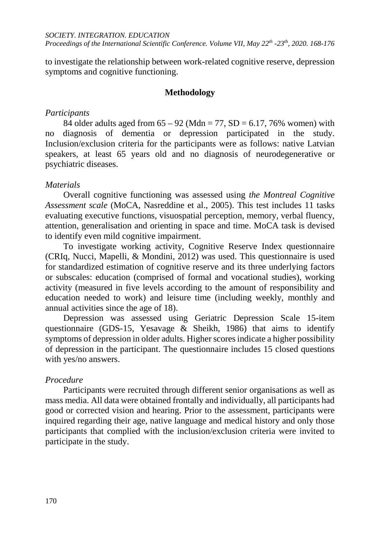to investigate the relationship between work-related cognitive reserve, depression symptoms and cognitive functioning.

## **Methodology**

#### *Participants*

84 older adults aged from  $65 - 92$  (Mdn = 77, SD = 6.17, 76% women) with no diagnosis of dementia or depression participated in the study. Inclusion/exclusion criteria for the participants were as follows: native Latvian speakers, at least 65 years old and no diagnosis of neurodegenerative or psychiatric diseases.

## *Materials*

Overall cognitive functioning was assessed using *the Montreal Cognitive Assessment scale* (MoCA, Nasreddine et al., 2005). This test includes 11 tasks evaluating executive functions, visuospatial perception, memory, verbal fluency, attention, generalisation and orienting in space and time. MoCA task is devised to identify even mild cognitive impairment.

To investigate working activity, Cognitive Reserve Index questionnaire (CRIq, Nucci, Mapelli, & Mondini, 2012) was used. This questionnaire is used for standardized estimation of cognitive reserve and its three underlying factors or subscales: education (comprised of formal and vocational studies), working activity (measured in five levels according to the amount of responsibility and education needed to work) and leisure time (including weekly, monthly and annual activities since the age of 18).

Depression was assessed using Geriatric Depression Scale 15-item questionnaire (GDS-15, Yesavage & Sheikh, 1986) that aims to identify symptoms of depression in older adults. Higher scores indicate a higher possibility of depression in the participant. The questionnaire includes 15 closed questions with yes/no answers.

## *Procedure*

Participants were recruited through different senior organisations as well as mass media. All data were obtained frontally and individually, all participants had good or corrected vision and hearing. Prior to the assessment, participants were inquired regarding their age, native language and medical history and only those participants that complied with the inclusion/exclusion criteria were invited to participate in the study.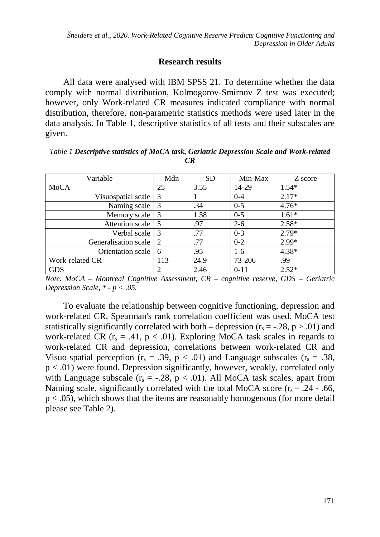## **Research results**

All data were analysed with IBM SPSS 21. To determine whether the data comply with normal distribution, Kolmogorov-Smirnov Z test was executed; however, only Work-related CR measures indicated compliance with normal distribution, therefore, non-parametric statistics methods were used later in the data analysis. In Table 1, descriptive statistics of all tests and their subscales are given.

*Table 1 Descriptive statistics of MoCA task, Geriatric Depression Scale and Work-related CR*

| Variable             | Mdn | <b>SD</b> | Min-Max  | Z score |
|----------------------|-----|-----------|----------|---------|
| <b>MoCA</b>          | 25  | 3.55      | 14-29    | $1.54*$ |
| Visuospatial scale   | 3   |           | $0 - 4$  | $2.17*$ |
| Naming scale         | 3   | .34       | $0 - 5$  | $4.76*$ |
| Memory scale         | 3   | 1.58      | $0 - 5$  | $1.61*$ |
| Attention scale      | 5   | .97       | $2 - 6$  | $2.58*$ |
| Verbal scale         | 3   | .77       | $0 - 3$  | $2.79*$ |
| Generalisation scale | 2   | .77       | $0 - 2$  | $2.99*$ |
| Orientation scale    | 6   | .95       | $1-6$    | $4.38*$ |
| Work-related CR      | 113 | 24.9      | 73-206   | .99     |
| <b>GDS</b>           | 2   | 2.46      | $0 - 11$ | $2.52*$ |

*Note. MoCA – Montreal Cognitive Assessment, CR – cognitive reserve, GDS – Geriatric Depression Scale, \* - p < .05.*

To evaluate the relationship between cognitive functioning, depression and work-related CR, Spearman's rank correlation coefficient was used. MoCA test statistically significantly correlated with both – depression ( $r_s = -0.28$ ,  $p > 0.01$ ) and work-related CR ( $r_s = .41$ ,  $p < .01$ ). Exploring MoCA task scales in regards to work-related CR and depression, correlations between work-related CR and Visuo-spatial perception ( $r_s = .39$ ,  $p < .01$ ) and Language subscales ( $r_s = .38$ , p < .01) were found. Depression significantly, however, weakly, correlated only with Language subscale  $(r_s = -.28, p < .01)$ . All MoCA task scales, apart from Naming scale, significantly correlated with the total MoCA score  $(r_s = .24 - .66, )$  $p < .05$ ), which shows that the items are reasonably homogenous (for more detail please see Table 2).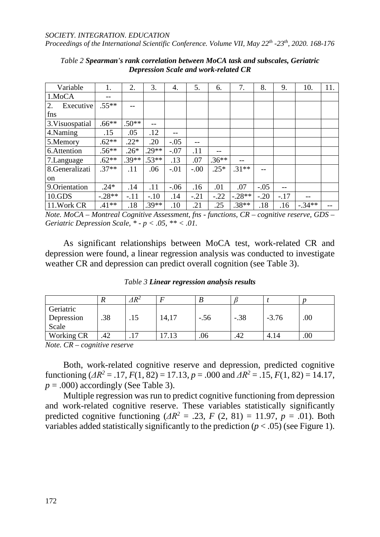#### *SOCIETY. INTEGRATION. EDUCATION*

*Proceedings of the International Scientific Conference. Volume VII, May 22th -23th, 2020. 168-176*

| Variable        | 1.       | 2.      | 3.      | 4.     | 5.     | 6.      | 7.       | 8.     | 9.     | 10.      | 11. |
|-----------------|----------|---------|---------|--------|--------|---------|----------|--------|--------|----------|-----|
| 1.MoCA          | --       |         |         |        |        |         |          |        |        |          |     |
| Executive<br>2. | $.55**$  | --      |         |        |        |         |          |        |        |          |     |
| fns             |          |         |         |        |        |         |          |        |        |          |     |
| 3. Visuospatial | $.66***$ | $.50**$ |         |        |        |         |          |        |        |          |     |
| 4.Naming        | .15      | .05     | .12     | --     |        |         |          |        |        |          |     |
| 5.Memory        | $.62**$  | $.22*$  | .20     | $-.05$ | --     |         |          |        |        |          |     |
| 6.Attention     | $.56**$  | $.26*$  | $.29**$ | $-.07$ | .11    | --      |          |        |        |          |     |
| 7. Language     | $.62**$  | $.39**$ | $.53**$ | .13    | .07    | $.36**$ | $-$      |        |        |          |     |
| 8.Generalizati  | $.37**$  | .11     | .06     | $-.01$ | $-.00$ | $.25*$  | $.31**$  |        |        |          |     |
| on              |          |         |         |        |        |         |          |        |        |          |     |
| 9. Orientation  | $.24*$   | .14     | .11     | $-.06$ | .16    | .01     | .07      | $-.05$ |        |          |     |
| 10.GDS          | $-.28**$ | $-.11$  | $-.10$  | .14    | $-.21$ | $-.22$  | $-.28**$ | $-.20$ | $-.17$ |          |     |
| 11. Work CR     | $.41**$  | .18     | $.39**$ | .10    | .21    | .25     | $.38**$  | .18    | .16    | $-.34**$ |     |

*Table 2 Spearman's rank correlation between MoCA task and subscales, Geriatric Depression Scale and work-related CR*

*Note. MoCA – Montreal Cognitive Assessment, fns - functions, CR – cognitive reserve, GDS – Geriatric Depression Scale, \* - p < .05, \*\* < .01.*

As significant relationships between MoCA test, work-related CR and depression were found, a linear regression analysis was conducted to investigate weather CR and depression can predict overall cognition (see Table 3).

|                                  |     | $\varDelta R^2$ |       |        |        |         |     |
|----------------------------------|-----|-----------------|-------|--------|--------|---------|-----|
| Geriatric<br>Depression<br>Scale | .38 | .15             | 14,17 | $-.56$ | $-.38$ | $-3.76$ | .00 |
| <b>Working CR</b>                | .42 | די              | 7.13  | .06    | .42    | 4.14    | .00 |

*Table 3 Linear regression analysis results*

*Note. CR – cognitive reserve*

Both, work-related cognitive reserve and depression, predicted cognitive functioning ( $\Delta R^2 = .17$ ,  $F(1, 82) = 17.13$ ,  $p = .000$  and  $\Delta R^2 = .15$ ,  $F(1, 82) = 14.17$ ,  $p = .000$ ) accordingly (See Table 3).

Multiple regression was run to predict cognitive functioning from depression and work-related cognitive reserve. These variables statistically significantly predicted cognitive functioning  $\Delta R^2 = .23$ ,  $F(2, 81) = 11.97$ ,  $p = .01$ ). Both variables added statistically significantly to the prediction  $(p < .05)$  (see Figure 1).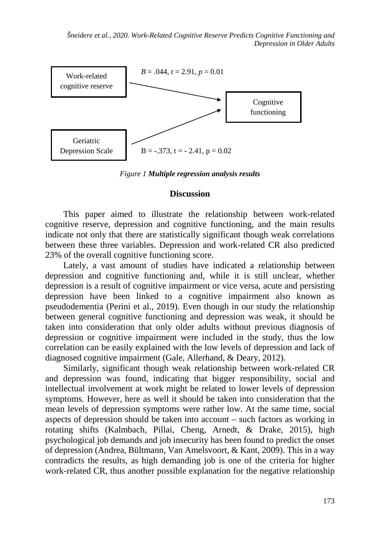*Šneidere et al., 2020. Work-Related Cognitive Reserve Predicts Cognitive Functioning and Depression in Older Adults*



*Figure 1 Multiple regression analysis results*

#### **Discussion**

This paper aimed to illustrate the relationship between work-related cognitive reserve, depression and cognitive functioning, and the main results indicate not only that there are statistically significant though weak correlations between these three variables. Depression and work-related CR also predicted 23% of the overall cognitive functioning score.

Lately, a vast amount of studies have indicated a relationship between depression and cognitive functioning and, while it is still unclear, whether depression is a result of cognitive impairment or vice versa, acute and persisting depression have been linked to a cognitive impairment also known as pseudodementia (Perini et al., 2019). Even though in our study the relationship between general cognitive functioning and depression was weak, it should be taken into consideration that only older adults without previous diagnosis of depression or cognitive impairment were included in the study, thus the low correlation can be easily explained with the low levels of depression and lack of diagnosed cognitive impairment (Gale, Allerhand, & Deary, 2012).

Similarly, significant though weak relationship between work-related CR and depression was found, indicating that bigger responsibility, social and intellectual involvement at work might be related to lower levels of depression symptoms. However, here as well it should be taken into consideration that the mean levels of depression symptoms were rather low. At the same time, social aspects of depression should be taken into account – such factors as working in rotating shifts (Kalmbach, Pillai, Cheng, Arnedt, & Drake, 2015), high psychological job demands and job insecurity has been found to predict the onset of depression (Andrea, Bültmann, Van Amelsvoort, & Kant, 2009). This in a way contradicts the results, as high demanding job is one of the criteria for higher work-related CR, thus another possible explanation for the negative relationship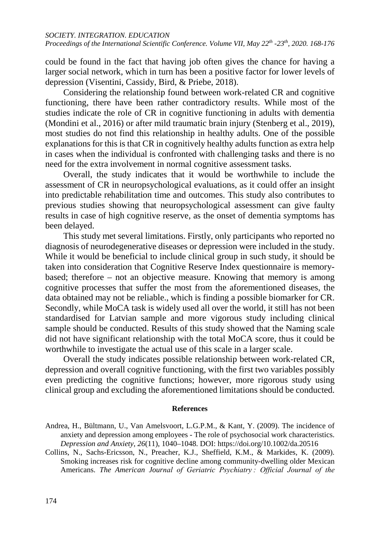could be found in the fact that having job often gives the chance for having a larger social network, which in turn has been a positive factor for lower levels of depression (Visentini, Cassidy, Bird, & Priebe, 2018).

Considering the relationship found between work-related CR and cognitive functioning, there have been rather contradictory results. While most of the studies indicate the role of CR in cognitive functioning in adults with dementia (Mondini et al., 2016) or after mild traumatic brain injury (Stenberg et al., 2019), most studies do not find this relationship in healthy adults. One of the possible explanations for this is that CR in cognitively healthy adults function as extra help in cases when the individual is confronted with challenging tasks and there is no need for the extra involvement in normal cognitive assessment tasks.

Overall, the study indicates that it would be worthwhile to include the assessment of CR in neuropsychological evaluations, as it could offer an insight into predictable rehabilitation time and outcomes. This study also contributes to previous studies showing that neuropsychological assessment can give faulty results in case of high cognitive reserve, as the onset of dementia symptoms has been delayed.

This study met several limitations. Firstly, only participants who reported no diagnosis of neurodegenerative diseases or depression were included in the study. While it would be beneficial to include clinical group in such study, it should be taken into consideration that Cognitive Reserve Index questionnaire is memorybased; therefore – not an objective measure. Knowing that memory is among cognitive processes that suffer the most from the aforementioned diseases, the data obtained may not be reliable., which is finding a possible biomarker for CR. Secondly, while MoCA task is widely used all over the world, it still has not been standardised for Latvian sample and more vigorous study including clinical sample should be conducted. Results of this study showed that the Naming scale did not have significant relationship with the total MoCA score, thus it could be worthwhile to investigate the actual use of this scale in a larger scale.

Overall the study indicates possible relationship between work-related CR, depression and overall cognitive functioning, with the first two variables possibly even predicting the cognitive functions; however, more rigorous study using clinical group and excluding the aforementioned limitations should be conducted.

#### **References**

Andrea, H., Bültmann, U., Van Amelsvoort, L.G.P.M., & Kant, Y. (2009). The incidence of anxiety and depression among employees - The role of psychosocial work characteristics. *Depression and Anxiety*, *26*(11), 1040–1048. DOI: https://doi.org/10.1002/da.20516

Collins, N., Sachs-Ericsson, N., Preacher, K.J., Sheffield, K.M., & Markides, K. (2009). Smoking increases risk for cognitive decline among community-dwelling older Mexican Americans. *The American Journal of Geriatric Psychiatry : Official Journal of the*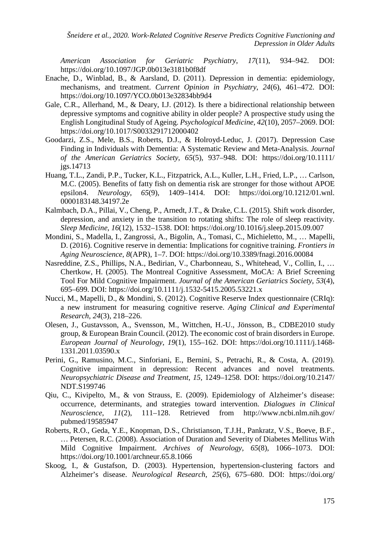*Šneidere et al., 2020. Work-Related Cognitive Reserve Predicts Cognitive Functioning and Depression in Older Adults*

*American Association for Geriatric Psychiatry*, *17*(11), 934–942. DOI: https://doi.org/10.1097/JGP.0b013e3181b0f8df

- Enache, D., Winblad, B., & Aarsland, D. (2011). Depression in dementia: epidemiology, mechanisms, and treatment. *Current Opinion in Psychiatry*, *24*(6), 461–472. DOI: https://doi.org/10.1097/YCO.0b013e32834bb9d4
- Gale, C.R., Allerhand, M., & Deary, I.J. (2012). Is there a bidirectional relationship between depressive symptoms and cognitive ability in older people? A prospective study using the English Longitudinal Study of Ageing. *Psychological Medicine*, *42*(10), 2057–2069. DOI: https://doi.org/10.1017/S0033291712000402
- Goodarzi, Z.S., Mele, B.S., Roberts, D.J., & Holroyd-Leduc, J. (2017). Depression Case Finding in Individuals with Dementia: A Systematic Review and Meta-Analysis. *Journal of the American Geriatrics Society*, *65*(5), 937–948. DOI: https://doi.org/10.1111/ jgs.14713
- Huang, T.L., Zandi, P.P., Tucker, K.L., Fitzpatrick, A.L., Kuller, L.H., Fried, L.P., … Carlson, M.C. (2005). Benefits of fatty fish on dementia risk are stronger for those without APOE epsilon4. *Neurology*, *65*(9), 1409–1414. DOI: https://doi.org/10.1212/01.wnl. 0000183148.34197.2e
- Kalmbach, D.A., Pillai, V., Cheng, P., Arnedt, J.T., & Drake, C.L. (2015). Shift work disorder, depression, and anxiety in the transition to rotating shifts: The role of sleep reactivity. *Sleep Medicine*, *16*(12), 1532–1538. DOI: https://doi.org/10.1016/j.sleep.2015.09.007
- Mondini, S., Madella, I., Zangrossi, A., Bigolin, A., Tomasi, C., Michieletto, M., … Mapelli, D. (2016). Cognitive reserve in dementia: Implications for cognitive training. *Frontiers in Aging Neuroscience*, *8*(APR), 1–7. DOI: https://doi.org/10.3389/fnagi.2016.00084
- Nasreddine, Z.S., Phillips, N.A., Bedirian, V., Charbonneau, S., Whitehead, V., Collin, I., … Chertkow, H. (2005). The Montreal Cognitive Assessment, MoCA: A Brief Screening Tool For Mild Cognitive Impairment. *Journal of the American Geriatrics Society*, *53*(4), 695–699. DOI: https://doi.org/10.1111/j.1532-5415.2005.53221.x
- Nucci, M., Mapelli, D., & Mondini, S. (2012). Cognitive Reserve Index questionnaire (CRIq): a new instrument for measuring cognitive reserve. *Aging Clinical and Experimental Research*, *24*(3), 218–226.
- Olesen, J., Gustavsson, A., Svensson, M., Wittchen, H.-U., Jönsson, B., CDBE2010 study group, & European Brain Council. (2012). The economic cost of brain disorders in Europe. *European Journal of Neurology*, *19*(1), 155–162. DOI: https://doi.org/10.1111/j.1468- 1331.2011.03590.x
- Perini, G., Ramusino, M.C., Sinforiani, E., Bernini, S., Petrachi, R., & Costa, A. (2019). Cognitive impairment in depression: Recent advances and novel treatments. *Neuropsychiatric Disease and Treatment*, *15*, 1249–1258. DOI: https://doi.org/10.2147/ NDT.S199746
- Qiu, C., Kivipelto, M., & von Strauss, E. (2009). Epidemiology of Alzheimer's disease: occurrence, determinants, and strategies toward intervention. *Dialogues in Clinical Neuroscience*, *11*(2), 111–128. Retrieved from http://www.ncbi.nlm.nih.gov/ pubmed/19585947
- Roberts, R.O., Geda, Y.E., Knopman, D.S., Christianson, T.J.H., Pankratz, V.S., Boeve, B.F., … Petersen, R.C. (2008). Association of Duration and Severity of Diabetes Mellitus With Mild Cognitive Impairment. *Archives of Neurology*, *65*(8), 1066–1073. DOI: https://doi.org/10.1001/archneur.65.8.1066
- Skoog, I., & Gustafson, D. (2003). Hypertension, hypertension-clustering factors and Alzheimer's disease. *Neurological Research*, *25*(6), 675–680. DOI: https://doi.org/